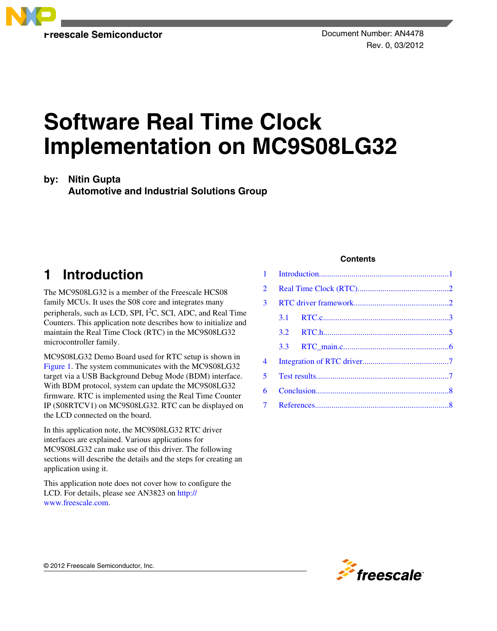

# **Software Real Time Clock Implementation on MC9S08LG32**

### **by: Nitin Gupta**

**Automotive and Industrial Solutions Group**

# **1 Introduction**

The MC9S08LG32 is a member of the Freescale HCS08 family MCUs. It uses the S08 core and integrates many peripherals, such as LCD, SPI, I2C, SCI, ADC, and Real Time Counters. This application note describes how to initialize and maintain the Real Time Clock (RTC) in the MC9S08LG32 microcontroller family.

MC9S08LG32 Demo Board used for RTC setup is shown in [Figure 1.](#page-1-0) The system communicates with the MC9S08LG32 target via a USB Background Debug Mode (BDM) interface. With BDM protocol, system can update the MC9S08LG32 firmware. RTC is implemented using the Real Time Counter IP (S08RTCV1) on MC9S08LG32. RTC can be displayed on the LCD connected on the board.

In this application note, the MC9S08LG32 RTC driver interfaces are explained. Various applications for MC9S08LG32 can make use of this driver. The following sections will describe the details and the steps for creating an application using it.

This application note does not cover how to configure the LCD. For details, please see AN3823 on [http://](http://www.freescale.com) [www.freescale.com](http://www.freescale.com).

### **Contents**

| $1 \quad$      |         |  |  |  |
|----------------|---------|--|--|--|
| $\overline{2}$ |         |  |  |  |
| 3              |         |  |  |  |
|                | $3.1 -$ |  |  |  |
|                |         |  |  |  |
|                | 3.3     |  |  |  |
| 4              |         |  |  |  |
| 5.             |         |  |  |  |
| 6              |         |  |  |  |
| $\overline{7}$ |         |  |  |  |

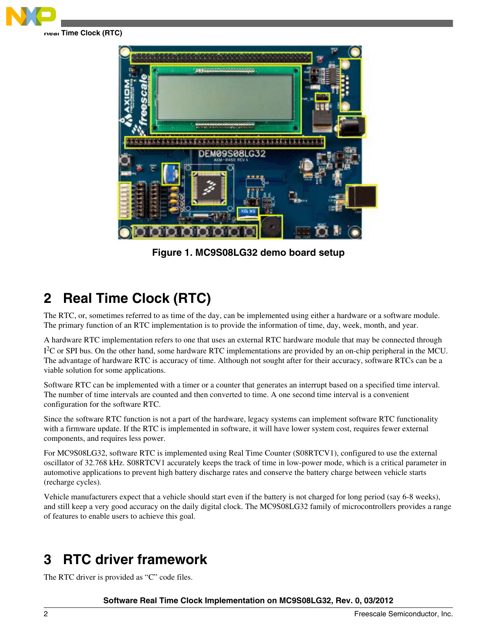<span id="page-1-0"></span>

EM09S08LG32 loro o

**Figure 1. MC9S08LG32 demo board setup**

# **2 Real Time Clock (RTC)**

The RTC, or, sometimes referred to as time of the day, can be implemented using either a hardware or a software module. The primary function of an RTC implementation is to provide the information of time, day, week, month, and year.

A hardware RTC implementation refers to one that uses an external RTC hardware module that may be connected through I<sup>2</sup>C or SPI bus. On the other hand, some hardware RTC implementations are provided by an on-chip peripheral in the MCU. The advantage of hardware RTC is accuracy of time. Although not sought after for their accuracy, software RTCs can be a viable solution for some applications.

Software RTC can be implemented with a timer or a counter that generates an interrupt based on a specified time interval. The number of time intervals are counted and then converted to time. A one second time interval is a convenient configuration for the software RTC.

Since the software RTC function is not a part of the hardware, legacy systems can implement software RTC functionality with a firmware update. If the RTC is implemented in software, it will have lower system cost, requires fewer external components, and requires less power.

For MC9S08LG32, software RTC is implemented using Real Time Counter (S08RTCV1), configured to use the external oscillator of 32.768 kHz. S08RTCV1 accurately keeps the track of time in low-power mode, which is a critical parameter in automotive applications to prevent high battery discharge rates and conserve the battery charge between vehicle starts (recharge cycles).

Vehicle manufacturers expect that a vehicle should start even if the battery is not charged for long period (say 6-8 weeks), and still keep a very good accuracy on the daily digital clock. The MC9S08LG32 family of microcontrollers provides a range of features to enable users to achieve this goal.

# **3 RTC driver framework**

The RTC driver is provided as "C" code files.

**Software Real Time Clock Implementation on MC9S08LG32, Rev. 0, 03/2012**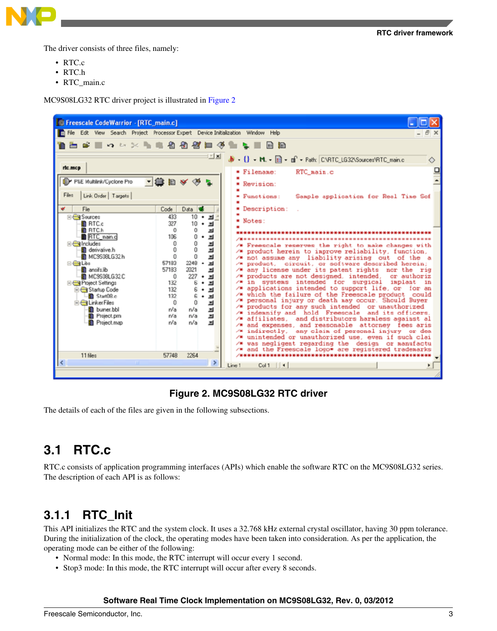<span id="page-2-0"></span>

The driver consists of three files, namely:

- RTC.c
- RTC.h
- RTC\_main.c

MC9S08LG32 RTC driver project is illustrated in Figure 2



### **Figure 2. MC9S08LG32 RTC driver**

The details of each of the files are given in the following subsections.

### **3.1 RTC.c**

RTC.c consists of application programming interfaces (APIs) which enable the software RTC on the MC9S08LG32 series. The description of each API is as follows:

### **3.1.1 RTC\_Init**

This API initializes the RTC and the system clock. It uses a 32.768 kHz external crystal oscillator, having 30 ppm tolerance. During the initialization of the clock, the operating modes have been taken into consideration. As per the application, the operating mode can be either of the following:

- Normal mode: In this mode, the RTC interrupt will occur every 1 second.
- Stop3 mode: In this mode, the RTC interrupt will occur after every 8 seconds.

### **Software Real Time Clock Implementation on MC9S08LG32, Rev. 0, 03/2012**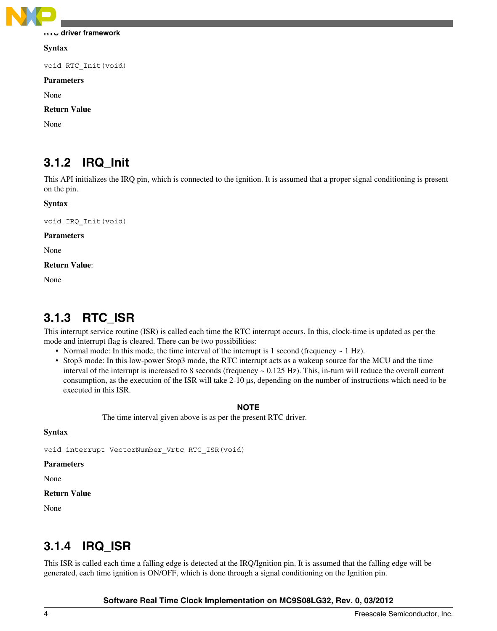

#### **RTC driver framework**

**Syntax**

void RTC\_Init(void)

#### **Parameters**

None

### **Return Value**

None

### **3.1.2 IRQ\_Init**

This API initializes the IRQ pin, which is connected to the ignition. It is assumed that a proper signal conditioning is present on the pin.

#### **Syntax**

void IRQ\_Init(void)

#### **Parameters**

None

#### **Return Value**:

None

### **3.1.3 RTC\_ISR**

This interrupt service routine (ISR) is called each time the RTC interrupt occurs. In this, clock-time is updated as per the mode and interrupt flag is cleared. There can be two possibilities:

- Normal mode: In this mode, the time interval of the interrupt is 1 second (frequency  $\sim 1$  Hz).
- Stop3 mode: In this low-power Stop3 mode, the RTC interrupt acts as a wakeup source for the MCU and the time interval of the interrupt is increased to 8 seconds (frequency  $\sim 0.125$  Hz). This, in-turn will reduce the overall current consumption, as the execution of the ISR will take 2-10 µs, depending on the number of instructions which need to be executed in this ISR.

### **NOTE**

The time interval given above is as per the present RTC driver.

### **Syntax**

void interrupt VectorNumber\_Vrtc RTC\_ISR(void)

#### **Parameters**

None

#### **Return Value**

None

### **3.1.4 IRQ\_ISR**

This ISR is called each time a falling edge is detected at the IRQ/Ignition pin. It is assumed that the falling edge will be generated, each time ignition is ON/OFF, which is done through a signal conditioning on the Ignition pin.

### **Software Real Time Clock Implementation on MC9S08LG32, Rev. 0, 03/2012**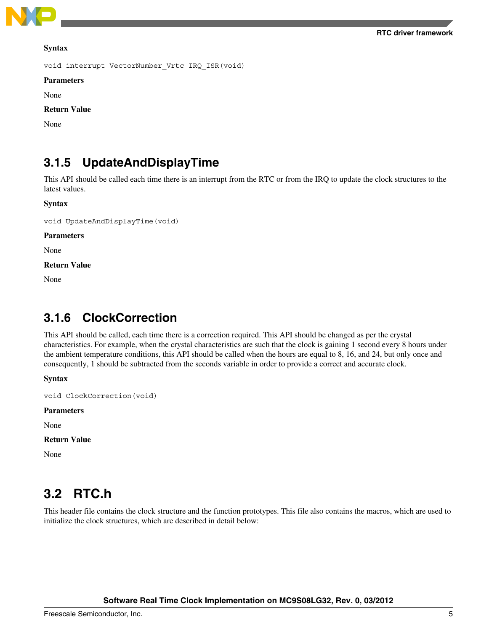<span id="page-4-0"></span>

#### **Syntax**

void interrupt VectorNumber\_Vrtc IRQ\_ISR(void)

#### **Parameters**

None

### **Return Value**

None

### **3.1.5 UpdateAndDisplayTime**

This API should be called each time there is an interrupt from the RTC or from the IRQ to update the clock structures to the latest values.

#### **Syntax**

void UpdateAndDisplayTime(void)

**Parameters**

None

**Return Value**

None

### **3.1.6 ClockCorrection**

This API should be called, each time there is a correction required. This API should be changed as per the crystal characteristics. For example, when the crystal characteristics are such that the clock is gaining 1 second every 8 hours under the ambient temperature conditions, this API should be called when the hours are equal to 8, 16, and 24, but only once and consequently, 1 should be subtracted from the seconds variable in order to provide a correct and accurate clock.

**Syntax**

void ClockCorrection(void)

### **Parameters**

None

```
Return Value
```
None

### **3.2 RTC.h**

This header file contains the clock structure and the function prototypes. This file also contains the macros, which are used to initialize the clock structures, which are described in detail below: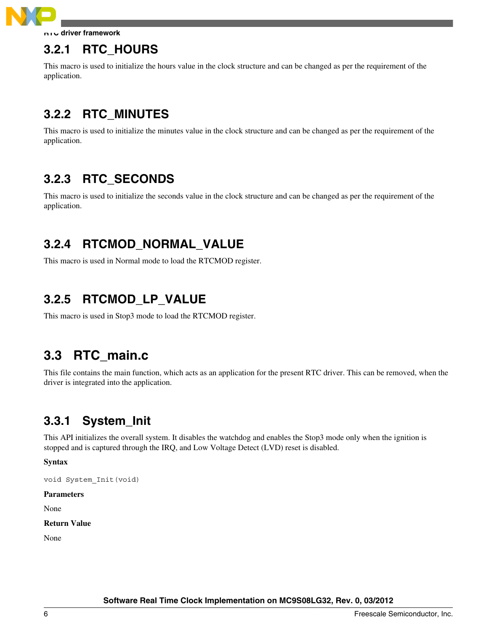<span id="page-5-0"></span>

**RTC driver framework**

### **3.2.1 RTC\_HOURS**

This macro is used to initialize the hours value in the clock structure and can be changed as per the requirement of the application.

## **3.2.2 RTC\_MINUTES**

This macro is used to initialize the minutes value in the clock structure and can be changed as per the requirement of the application.

### **3.2.3 RTC\_SECONDS**

This macro is used to initialize the seconds value in the clock structure and can be changed as per the requirement of the application.

### **3.2.4 RTCMOD\_NORMAL\_VALUE**

This macro is used in Normal mode to load the RTCMOD register.

### **3.2.5 RTCMOD\_LP\_VALUE**

This macro is used in Stop3 mode to load the RTCMOD register.

### **3.3 RTC\_main.c**

This file contains the main function, which acts as an application for the present RTC driver. This can be removed, when the driver is integrated into the application.

### **3.3.1 System\_Init**

This API initializes the overall system. It disables the watchdog and enables the Stop3 mode only when the ignition is stopped and is captured through the IRQ, and Low Voltage Detect (LVD) reset is disabled.

**Syntax**

void System\_Init(void)

### **Parameters**

None

### **Return Value**

None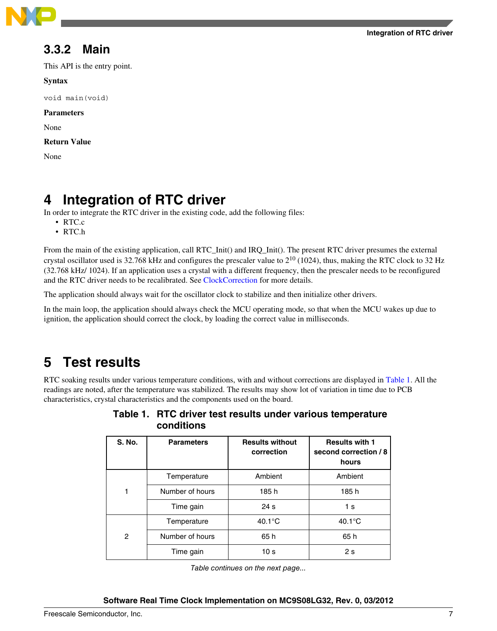<span id="page-6-0"></span>

### **3.3.2 Main**

This API is the entry point.

### **Syntax**

void main(void)

**Parameters**

None

**Return Value**

None

# **4 Integration of RTC driver**

In order to integrate the RTC driver in the existing code, add the following files:

- RTC.c
- RTC.h

From the main of the existing application, call RTC\_Init() and IRQ\_Init(). The present RTC driver presumes the external crystal oscillator used is 32.768 kHz and configures the prescaler value to 210 (1024), thus, making the RTC clock to 32 Hz (32.768 kHz/ 1024). If an application uses a crystal with a different frequency, then the prescaler needs to be reconfigured and the RTC driver needs to be recalibrated. See [ClockCorrection](#page-4-0) for more details.

The application should always wait for the oscillator clock to stabilize and then initialize other drivers.

In the main loop, the application should always check the MCU operating mode, so that when the MCU wakes up due to ignition, the application should correct the clock, by loading the correct value in milliseconds.

# **5 Test results**

RTC soaking results under various temperature conditions, with and without corrections are displayed in Table 1. All the readings are noted, after the temperature was stabilized. The results may show lot of variation in time due to PCB characteristics, crystal characteristics and the components used on the board.

|               | uunununu          |                                      |                                                         |
|---------------|-------------------|--------------------------------------|---------------------------------------------------------|
| <b>S. No.</b> | <b>Parameters</b> | <b>Results without</b><br>correction | <b>Results with 1</b><br>second correction / 8<br>hours |
|               | Temperature       | Ambient                              | Ambient                                                 |
| 1             | Number of hours   | 185 h                                | 185h                                                    |
|               | Time gain         | 24 <sub>s</sub>                      | 1 s                                                     |
|               | Temperature       | $40.1^{\circ}$ C                     | $40.1^{\circ}$ C                                        |
| 2             | Number of hours   | 65 h                                 | 65 h                                                    |
|               | Time gain         | 10 <sub>s</sub>                      | 2s                                                      |

| Table 1. RTC driver test results under various temperature |  |  |  |
|------------------------------------------------------------|--|--|--|
| conditions                                                 |  |  |  |

*Table continues on the next page...*

### **Integration of RTC driver**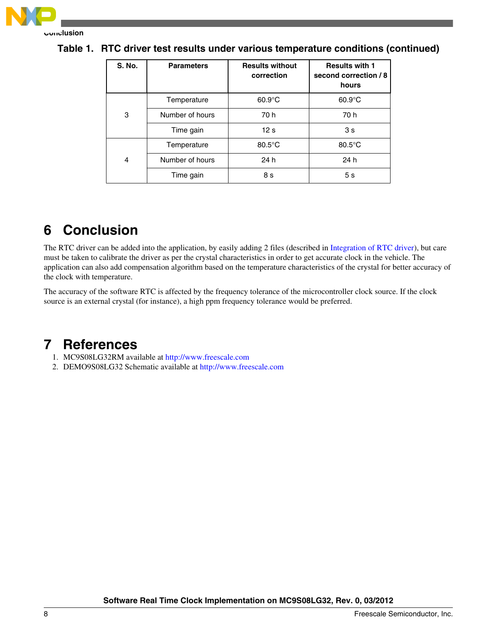<span id="page-7-0"></span>

| <b>S. No.</b> | <b>Parameters</b> | <b>Results without</b><br>correction | <b>Results with 1</b><br>second correction / 8<br>hours |
|---------------|-------------------|--------------------------------------|---------------------------------------------------------|
|               | Temperature       | $60.9^{\circ}$ C                     | $60.9^{\circ}$ C                                        |
| 3             | Number of hours   | 70 h                                 | 70 h                                                    |
|               | Time gain         | 12 <sub>s</sub>                      | 3s                                                      |
|               | Temperature       | $80.5^{\circ}$ C                     | $80.5^{\circ}$ C                                        |
| 4             | Number of hours   | 24 h                                 | 24 h                                                    |
|               | Time gain         | 8 s                                  | 5 <sub>s</sub>                                          |

**Table 1. RTC driver test results under various temperature conditions (continued)**

# **6 Conclusion**

The RTC driver can be added into the application, by easily adding 2 files (described in [Integration of RTC driver](#page-6-0)), but care must be taken to calibrate the driver as per the crystal characteristics in order to get accurate clock in the vehicle. The application can also add compensation algorithm based on the temperature characteristics of the crystal for better accuracy of the clock with temperature.

The accuracy of the software RTC is affected by the frequency tolerance of the microcontroller clock source. If the clock source is an external crystal (for instance), a high ppm frequency tolerance would be preferred.

### **7 References**

- 1. MC9S08LG32RM available at <http://www.freescale.com>
- 2. DEMO9S08LG32 Schematic available at<http://www.freescale.com>